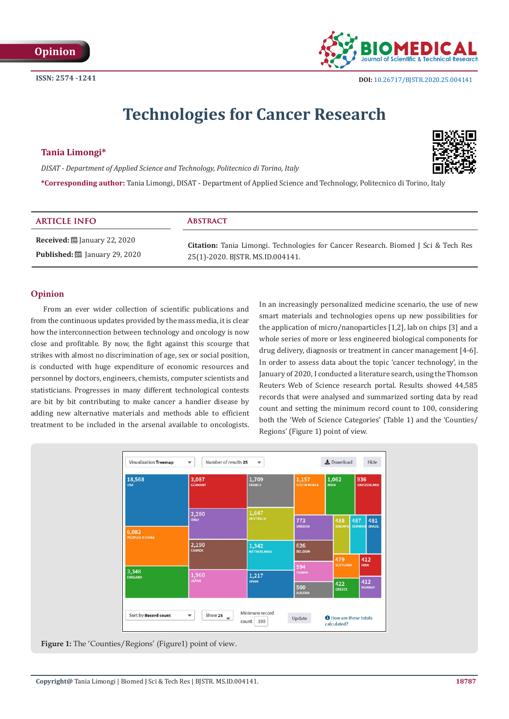

# **Technologies for Cancer Research**

## **Tania Limongi\***

*DISAT - Department of Applied Science and Technology, Politecnico di Torino, Italy*



**\*Corresponding author:** Tania Limongi, DISAT - Department of Applied Science and Technology, Politecnico di Torino, Italy

| <b>ARTICLE INFO</b>                                                       | <b>ABSTRACT</b>                                                                           |
|---------------------------------------------------------------------------|-------------------------------------------------------------------------------------------|
| <b>Received:</b> $\mathbf{\mathbf{\mathbf{\mathbb{B}}}}$ January 22, 2020 | <b>Citation:</b> Tania Limongi. Technologies for Cancer Research. Biomed J Sci & Tech Res |
| <b>Published:</b> [2015] January 29, 2020                                 | 25(1)-2020. BJSTR. MS.ID.004141.                                                          |

## **Opinion**

From an ever wider collection of scientific publications and from the continuous updates provided by the mass media, it is clear how the interconnection between technology and oncology is now close and profitable. By now, the fight against this scourge that strikes with almost no discrimination of age, sex or social position, is conducted with huge expenditure of economic resources and personnel by doctors, engineers, chemists, computer scientists and statisticians. Progresses in many different technological contests are bit by bit contributing to make cancer a handier disease by adding new alternative materials and methods able to efficient treatment to be included in the arsenal available to oncologists.

In an increasingly personalized medicine scenario, the use of new smart materials and technologies opens up new possibilities for the application of micro/nanoparticles [1,2], lab on chips [3] and a whole series of more or less engineered biological components for drug delivery, diagnosis or treatment in cancer management [4-6]. In order to assess data about the topic 'cancer technology', in the January of 2020, I conducted a literature search, using the Thomson Reuters Web of Science research portal. Results showed 44,585 records that were analysed and summarized sorting data by read count and setting the minimum record count to 100, considering both the 'Web of Science Categories' (Table 1) and the 'Counties/ Regions' (Figure 1) point of view.



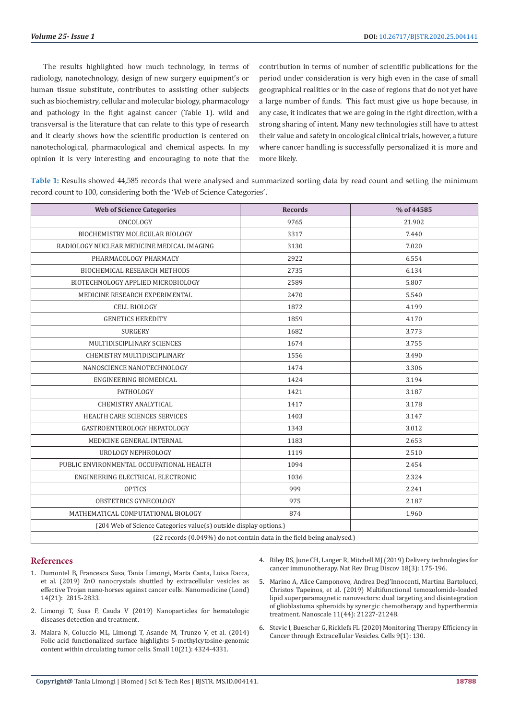The results highlighted how much technology, in terms of radiology, nanotechnology, design of new surgery equipment's or human tissue substitute, contributes to assisting other subjects such as biochemistry, cellular and molecular biology, pharmacology and pathology in the fight against cancer (Table 1). wild and transversal is the literature that can relate to this type of research and it clearly shows how the scientific production is centered on nanotechological, pharmacological and chemical aspects. In my opinion it is very interesting and encouraging to note that the

contribution in terms of number of scientific publications for the period under consideration is very high even in the case of small geographical realities or in the case of regions that do not yet have a large number of funds. This fact must give us hope because, in any case, it indicates that we are going in the right direction, with a strong sharing of intent. Many new technologies still have to attest their value and safety in oncological clinical trials, however, a future where cancer handling is successfully personalized it is more and more likely.

**Table 1:** Results showed 44,585 records that were analysed and summarized sorting data by read count and setting the minimum record count to 100, considering both the 'Web of Science Categories'.

| <b>Web of Science Categories</b>                                       | <b>Records</b> | % of 44585 |  |
|------------------------------------------------------------------------|----------------|------------|--|
| ONCOLOGY                                                               | 9765           | 21.902     |  |
| BIOCHEMISTRY MOLECULAR BIOLOGY                                         | 3317           | 7.440      |  |
| RADIOLOGY NUCLEAR MEDICINE MEDICAL IMAGING                             | 3130           | 7.020      |  |
| PHARMACOLOGY PHARMACY                                                  | 2922           | 6.554      |  |
| BIOCHEMICAL RESEARCH METHODS                                           | 2735           | 6.134      |  |
| BIOTECHNOLOGY APPLIED MICROBIOLOGY                                     | 2589           | 5.807      |  |
| MEDICINE RESEARCH EXPERIMENTAL                                         | 2470           | 5.540      |  |
| <b>CELL BIOLOGY</b>                                                    | 1872           | 4.199      |  |
| <b>GENETICS HEREDITY</b>                                               | 1859           | 4.170      |  |
| <b>SURGERY</b>                                                         | 1682           | 3.773      |  |
| MULTIDISCIPLINARY SCIENCES                                             | 1674           | 3.755      |  |
| CHEMISTRY MULTIDISCIPLINARY                                            | 1556           | 3.490      |  |
| NANOSCIENCE NANOTECHNOLOGY                                             | 1474           | 3.306      |  |
| ENGINEERING BIOMEDICAL                                                 | 1424           | 3.194      |  |
| PATHOLOGY                                                              | 1421           | 3.187      |  |
| <b>CHEMISTRY ANALYTICAL</b>                                            | 1417           | 3.178      |  |
| HEALTH CARE SCIENCES SERVICES                                          | 1403           | 3.147      |  |
| GASTROENTEROLOGY HEPATOLOGY                                            | 1343           | 3.012      |  |
| MEDICINE GENERAL INTERNAL                                              | 1183           | 2.653      |  |
| UROLOGY NEPHROLOGY                                                     | 1119           | 2.510      |  |
| PUBLIC ENVIRONMENTAL OCCUPATIONAL HEALTH                               | 1094           | 2.454      |  |
| ENGINEERING ELECTRICAL ELECTRONIC                                      | 1036           | 2.324      |  |
| <b>OPTICS</b>                                                          | 999            | 2.241      |  |
| OBSTETRICS GYNECOLOGY                                                  | 975            | 2.187      |  |
| MATHEMATICAL COMPUTATIONAL BIOLOGY                                     | 874            | 1.960      |  |
| (204 Web of Science Categories value(s) outside display options.)      |                |            |  |
| (22 records (0.049%) do not contain data in the field being analysed.) |                |            |  |

#### **References**

- 1. [Dumontel B, Francesca Susa, Tania Limongi, Marta Canta, Luisa Racca,](https://www.futuremedicine.com/doi/10.2217/nnm-2019-0231)  [et al. \(2019\) ZnO nanocrystals shuttled by extracellular vesicles as](https://www.futuremedicine.com/doi/10.2217/nnm-2019-0231)  [effective Trojan nano-horses against cancer cells. Nanomedicine \(Lond\)](https://www.futuremedicine.com/doi/10.2217/nnm-2019-0231)  [14\(21\): 2815-2833.](https://www.futuremedicine.com/doi/10.2217/nnm-2019-0231)
- 2. [Limongi T, Susa F, Cauda V \(2019\) Nanoparticles for hematologic](https://www.oatext.com/nanoparticles-for-hematologic-diseases-detection-and-treatment.php)  [diseases detection and treatment.](https://www.oatext.com/nanoparticles-for-hematologic-diseases-detection-and-treatment.php)
- 3. [Malara N, Coluccio ML, Limongi T, Asande M, Trunzo V, et al. \(2014\)](https://www.ncbi.nlm.nih.gov/pubmed/25044603)  [Folic acid functionalized surface highlights 5-methylcytosine-genomic](https://www.ncbi.nlm.nih.gov/pubmed/25044603)  [content within circulating tumor cells. Small 10\(21\): 4324-4331.](https://www.ncbi.nlm.nih.gov/pubmed/25044603)
- 4. [Riley RS, June CH, Langer R, Mitchell MJ \(2019\) Delivery technologies for](https://www.ncbi.nlm.nih.gov/pubmed/30622344) [cancer immunotherapy. Nat Rev Drug Discov 18\(3\): 175-196.](https://www.ncbi.nlm.nih.gov/pubmed/30622344)
- 5. Marino A, Alice Camponovo, Andrea Degl'Innocenti, Martina Bartolucci, Christos Tapeinos, et al. (2019) Multifunctional temozolomide-loaded lipid superparamagnetic nanovectors: dual targeting and disintegration of glioblastoma spheroids by synergic chemotherapy and hyperthermia treatment. Nanoscale 11(44): 21227-21248.
- 6. [Stevic I, Buescher G, Ricklefs FL \(2020\) Monitoring Therapy Efficiency in](https://www.mdpi.com/2073-4409/9/1/130/htm) [Cancer through Extracellular Vesicles. Cells 9\(1\): 130.](https://www.mdpi.com/2073-4409/9/1/130/htm)